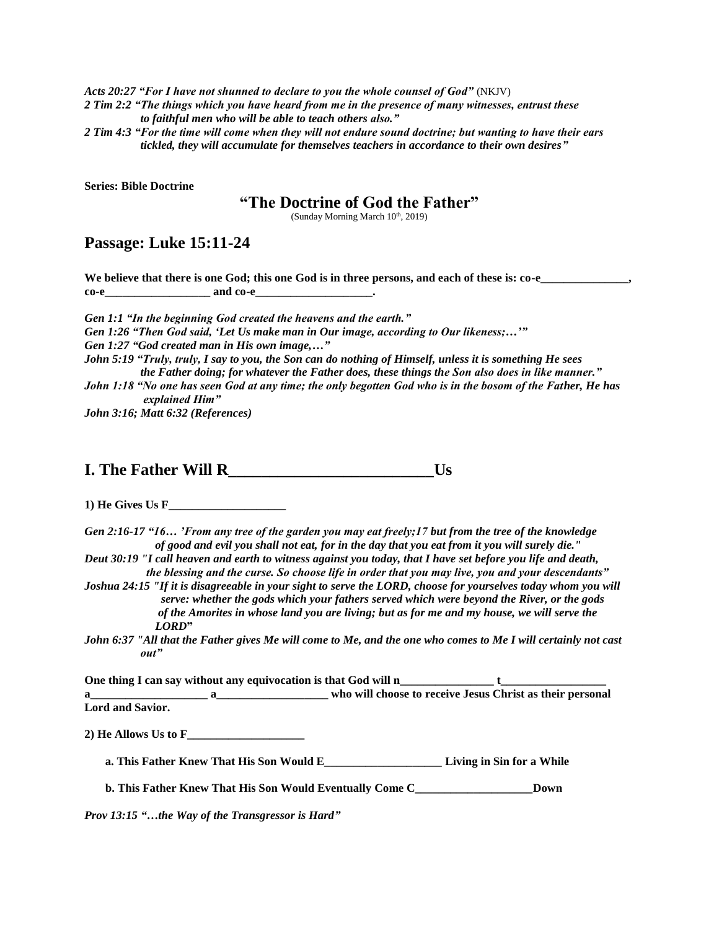*Acts 20:27 "For I have not shunned to declare to you the whole counsel of God"* (NKJV)

*2 Tim 2:2 "The things which you have heard from me in the presence of many witnesses, entrust these to faithful men who will be able to teach others also."*

*2 Tim 4:3 "For the time will come when they will not endure sound doctrine; but wanting to have their ears tickled, they will accumulate for themselves teachers in accordance to their own desires"*

**Series: Bible Doctrine**

## **"The Doctrine of God the Father"**

(Sunday Morning March  $10<sup>th</sup>$ , 2019)

## **Passage: Luke 15:11-24**

We believe that there is one God; this one God is in three persons, and each of these is: co-e\_\_\_\_\_\_\_\_\_\_\_\_\_,  $\text{codim} \ \text{codim} \ \text{codim} \ \text{codim} \ \text{codim} \ \text{codim} \ \text{codim} \ \text{codim} \ \text{codim} \ \text{codim} \ \text{codim} \ \text{codim} \ \text{codim} \ \text{codim} \ \text{codim} \ \text{codim} \ \text{codim} \ \text{codim} \ \text{codim} \ \text{codim} \ \text{codim} \ \text{codim} \ \text{codim} \ \text{codim} \ \text{codim} \ \text{codim} \ \text{codim} \ \text{codim} \ \text{codim} \ \text{codim} \ \text{codim} \ \text{$ 

*Gen 1:1 "In the beginning God created the heavens and the earth." Gen 1:26 "Then God said, 'Let Us make man in Our image, according to Our likeness;…'" Gen 1:27 "God created man in His own image,…" John 5:19 "Truly, truly, I say to you, the Son can do nothing of Himself, unless it is something He sees the Father doing; for whatever the Father does, these things the Son also does in like manner." John 1:18 "No one has seen God at any time; the only begotten God who is in the bosom of the Father, He has explained Him"*

*John 3:16; Matt 6:32 (References)* 

**I. The Father Will R\_\_\_\_\_\_\_\_\_\_\_\_\_\_\_\_\_\_\_\_\_\_\_\_\_Us**

**1) He Gives Us F\_\_\_\_\_\_\_\_\_\_\_\_\_\_\_\_\_\_\_\_**

*Gen 2:16-17 "16… 'From any tree of the garden you may eat freely;17 but from the tree of the knowledge of good and evil you shall not eat, for in the day that you eat from it you will surely die." Deut 30:19 "I call heaven and earth to witness against you today, that I have set before you life and death,* 

 *the blessing and the curse. So choose life in order that you may live, you and your descendants" Joshua 24:15 "If it is disagreeable in your sight to serve the LORD, choose for yourselves today whom you will* 

 *serve: whether the gods which your fathers served which were beyond the River, or the gods of the Amorites in whose land you are living; but as for me and my house, we will serve the LORD***"**

*John 6:37 "All that the Father gives Me will come to Me, and the one who comes to Me I will certainly not cast out"* 

One thing I can say without any equivocation is that God will n\_\_\_\_\_\_\_\_\_\_\_\_\_\_\_\_\_\_ t\_ **a\_\_\_\_\_\_\_\_\_\_\_\_\_\_\_\_\_\_\_\_ a\_\_\_\_\_\_\_\_\_\_\_\_\_\_\_\_\_\_\_ who will choose to receive Jesus Christ as their personal** 

**Lord and Savior.** 

**2) He Allows Us to F\_\_\_\_\_\_\_\_\_\_\_\_\_\_\_\_\_\_\_\_**

 **a. This Father Knew That His Son Would E\_\_\_\_\_\_\_\_\_\_\_\_\_\_\_\_\_\_\_\_ Living in Sin for a While**

 **b. This Father Knew That His Son Would Eventually Come C\_\_\_\_\_\_\_\_\_\_\_\_\_\_\_\_\_\_\_\_Down**

*Prov 13:15 "…the Way of the Transgressor is Hard"*